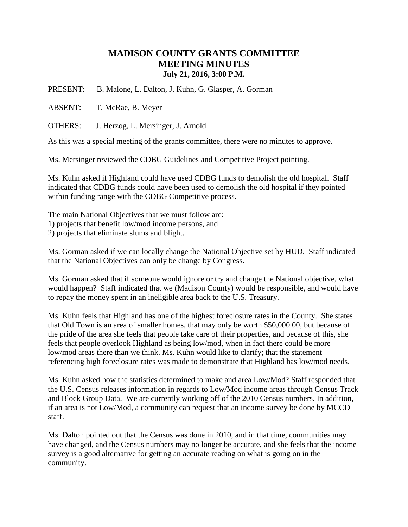## **MADISON COUNTY GRANTS COMMITTEE MEETING MINUTES July 21, 2016, 3:00 P.M.**

PRESENT: B. Malone, L. Dalton, J. Kuhn, G. Glasper, A. Gorman

ABSENT: T. McRae, B. Meyer

OTHERS: J. Herzog, L. Mersinger, J. Arnold

As this was a special meeting of the grants committee, there were no minutes to approve.

Ms. Mersinger reviewed the CDBG Guidelines and Competitive Project pointing.

Ms. Kuhn asked if Highland could have used CDBG funds to demolish the old hospital. Staff indicated that CDBG funds could have been used to demolish the old hospital if they pointed within funding range with the CDBG Competitive process.

The main National Objectives that we must follow are:

1) projects that benefit low/mod income persons, and

2) projects that eliminate slums and blight.

Ms. Gorman asked if we can locally change the National Objective set by HUD. Staff indicated that the National Objectives can only be change by Congress.

Ms. Gorman asked that if someone would ignore or try and change the National objective, what would happen? Staff indicated that we (Madison County) would be responsible, and would have to repay the money spent in an ineligible area back to the U.S. Treasury.

Ms. Kuhn feels that Highland has one of the highest foreclosure rates in the County. She states that Old Town is an area of smaller homes, that may only be worth \$50,000.00, but because of the pride of the area she feels that people take care of their properties, and because of this, she feels that people overlook Highland as being low/mod, when in fact there could be more low/mod areas there than we think. Ms. Kuhn would like to clarify; that the statement referencing high foreclosure rates was made to demonstrate that Highland has low/mod needs.

Ms. Kuhn asked how the statistics determined to make and area Low/Mod? Staff responded that the U.S. Census releases information in regards to Low/Mod income areas through Census Track and Block Group Data. We are currently working off of the 2010 Census numbers. In addition, if an area is not Low/Mod, a community can request that an income survey be done by MCCD staff.

Ms. Dalton pointed out that the Census was done in 2010, and in that time, communities may have changed, and the Census numbers may no longer be accurate, and she feels that the income survey is a good alternative for getting an accurate reading on what is going on in the community.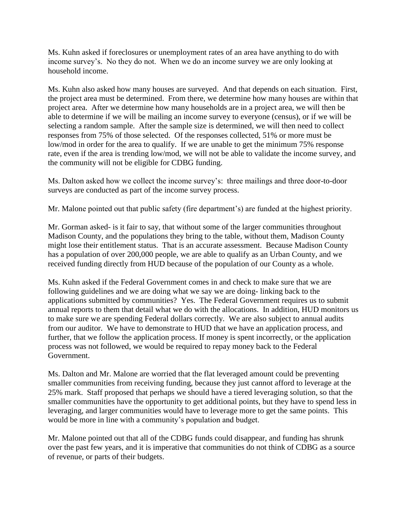Ms. Kuhn asked if foreclosures or unemployment rates of an area have anything to do with income survey's. No they do not. When we do an income survey we are only looking at household income.

Ms. Kuhn also asked how many houses are surveyed. And that depends on each situation. First, the project area must be determined. From there, we determine how many houses are within that project area. After we determine how many households are in a project area, we will then be able to determine if we will be mailing an income survey to everyone (census), or if we will be selecting a random sample. After the sample size is determined, we will then need to collect responses from 75% of those selected. Of the responses collected, 51% or more must be low/mod in order for the area to qualify. If we are unable to get the minimum 75% response rate, even if the area is trending low/mod, we will not be able to validate the income survey, and the community will not be eligible for CDBG funding.

Ms. Dalton asked how we collect the income survey's: three mailings and three door-to-door surveys are conducted as part of the income survey process.

Mr. Malone pointed out that public safety (fire department's) are funded at the highest priority.

Mr. Gorman asked- is it fair to say, that without some of the larger communities throughout Madison County, and the populations they bring to the table, without them, Madison County might lose their entitlement status. That is an accurate assessment. Because Madison County has a population of over 200,000 people, we are able to qualify as an Urban County, and we received funding directly from HUD because of the population of our County as a whole.

Ms. Kuhn asked if the Federal Government comes in and check to make sure that we are following guidelines and we are doing what we say we are doing- linking back to the applications submitted by communities? Yes. The Federal Government requires us to submit annual reports to them that detail what we do with the allocations. In addition, HUD monitors us to make sure we are spending Federal dollars correctly. We are also subject to annual audits from our auditor. We have to demonstrate to HUD that we have an application process, and further, that we follow the application process. If money is spent incorrectly, or the application process was not followed, we would be required to repay money back to the Federal Government.

Ms. Dalton and Mr. Malone are worried that the flat leveraged amount could be preventing smaller communities from receiving funding, because they just cannot afford to leverage at the 25% mark. Staff proposed that perhaps we should have a tiered leveraging solution, so that the smaller communities have the opportunity to get additional points, but they have to spend less in leveraging, and larger communities would have to leverage more to get the same points. This would be more in line with a community's population and budget.

Mr. Malone pointed out that all of the CDBG funds could disappear, and funding has shrunk over the past few years, and it is imperative that communities do not think of CDBG as a source of revenue, or parts of their budgets.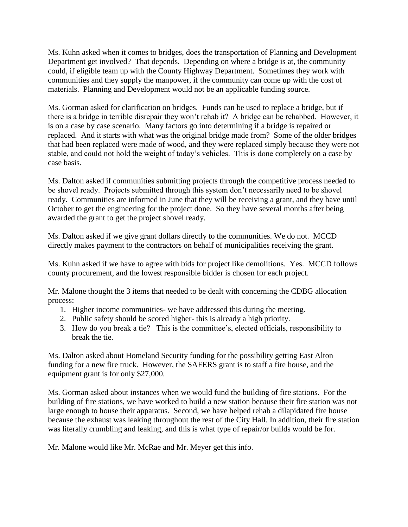Ms. Kuhn asked when it comes to bridges, does the transportation of Planning and Development Department get involved? That depends. Depending on where a bridge is at, the community could, if eligible team up with the County Highway Department. Sometimes they work with communities and they supply the manpower, if the community can come up with the cost of materials. Planning and Development would not be an applicable funding source.

Ms. Gorman asked for clarification on bridges. Funds can be used to replace a bridge, but if there is a bridge in terrible disrepair they won't rehab it? A bridge can be rehabbed. However, it is on a case by case scenario. Many factors go into determining if a bridge is repaired or replaced. And it starts with what was the original bridge made from? Some of the older bridges that had been replaced were made of wood, and they were replaced simply because they were not stable, and could not hold the weight of today's vehicles. This is done completely on a case by case basis.

Ms. Dalton asked if communities submitting projects through the competitive process needed to be shovel ready. Projects submitted through this system don't necessarily need to be shovel ready. Communities are informed in June that they will be receiving a grant, and they have until October to get the engineering for the project done. So they have several months after being awarded the grant to get the project shovel ready.

Ms. Dalton asked if we give grant dollars directly to the communities. We do not. MCCD directly makes payment to the contractors on behalf of municipalities receiving the grant.

Ms. Kuhn asked if we have to agree with bids for project like demolitions. Yes. MCCD follows county procurement, and the lowest responsible bidder is chosen for each project.

Mr. Malone thought the 3 items that needed to be dealt with concerning the CDBG allocation process:

- 1. Higher income communities- we have addressed this during the meeting.
- 2. Public safety should be scored higher- this is already a high priority.
- 3. How do you break a tie? This is the committee's, elected officials, responsibility to break the tie.

Ms. Dalton asked about Homeland Security funding for the possibility getting East Alton funding for a new fire truck. However, the SAFERS grant is to staff a fire house, and the equipment grant is for only \$27,000.

Ms. Gorman asked about instances when we would fund the building of fire stations. For the building of fire stations, we have worked to build a new station because their fire station was not large enough to house their apparatus. Second, we have helped rehab a dilapidated fire house because the exhaust was leaking throughout the rest of the City Hall. In addition, their fire station was literally crumbling and leaking, and this is what type of repair/or builds would be for.

Mr. Malone would like Mr. McRae and Mr. Meyer get this info.